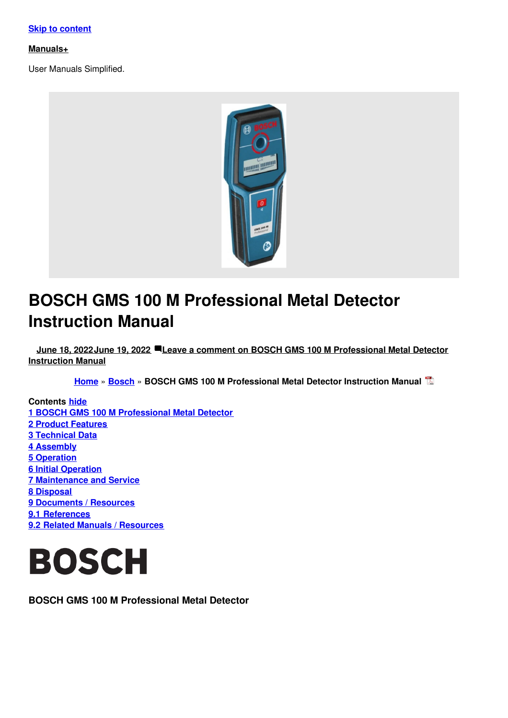#### **Skip to [content](#page-5-0)**

#### **[Manuals+](https://manuals.plus/)**

User Manuals Simplified.



# **BOSCH GMS 100 M Professional Metal Detector Instruction Manual**

**June 18, [2022June](#page-4-0) 19, 2022 Leave a comment on BOSCH GMS 100 M [Professional](#page-9-0) Metal Detector Instruction Manual**

**[Home](https://manuals.plus/)** » **[Bosch](https://manuals.plus/category/bosch)** » **BOSCH GMS 100 M Professional Metal Detector Instruction Manual**

**Contents hide 1 BOSCH GMS 100 M [Professional](#page-0-0) Metal Detector 2 Product [Features](#page-1-0) 3 [Technical](#page-3-0) Data 4 [Assembly](#page-3-1) 5 [Operation](#page-3-2) 6 Initial [Operation](#page-4-1) 7 [Maintenance](#page-6-0) and Service 8 [Disposal](#page-8-0) 9 [Documents](#page-8-1) / Resources 9.1 [References](#page-8-2) 9.2 Related Manuals / [Resources](#page-8-3)**



<span id="page-0-0"></span>**BOSCH GMS 100 M Professional Metal Detector**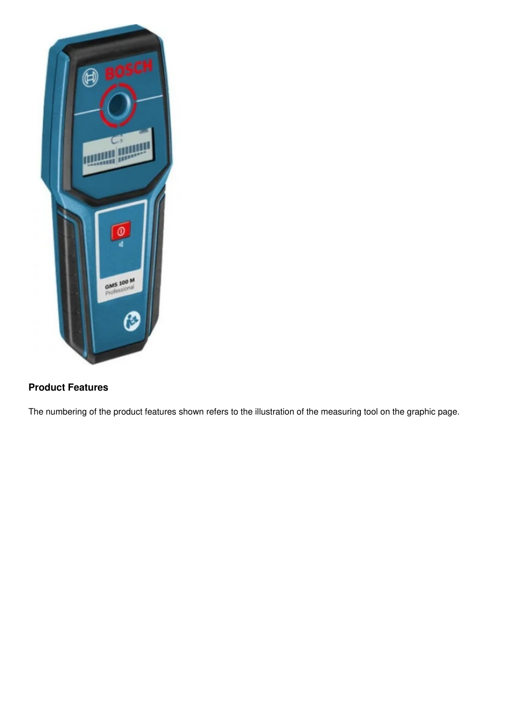

# <span id="page-1-0"></span>**Product Features**

The numbering of the product features shown refers to the illustration of the measuring tool on the graphic page.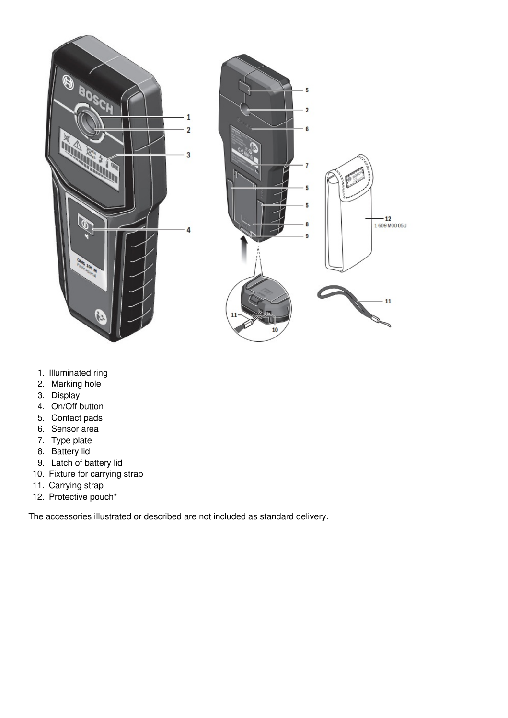

- 1. Illuminated ring
- 2. Marking hole
- 3. Display
- 4. On/Off button
- 5. Contact pads
- 6. Sensor area
- 7. Type plate
- 8. Battery lid
- 9. Latch of battery lid
- 10. Fixture for carrying strap
- 11. Carrying strap
- 12. Protective pouch\*

The accessories illustrated or described are not included as standard delivery.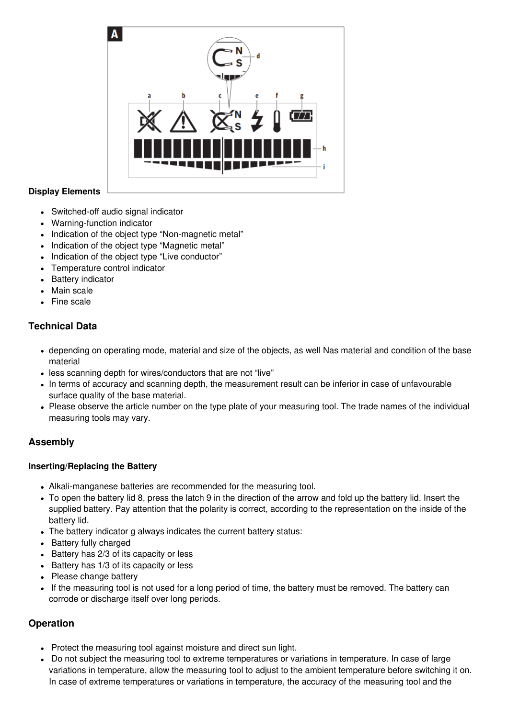

## **Display Elements**

- Switched-off audio signal indicator
- Warning-function indicator
- Indication of the object type "Non-magnetic metal"
- Indication of the object type "Magnetic metal"
- Indication of the object type "Live conductor"
- Temperature control indicator
- Battery indicator
- Main scale
- Fine scale

# <span id="page-3-0"></span>**Technical Data**

- depending on operating mode, material and size of the objects, as well Nas material and condition of the base material
- less scanning depth for wires/conductors that are not "live"
- In terms of accuracy and scanning depth, the measurement result can be inferior in case of unfavourable surface quality of the base material.
- Please observe the article number on the type plate of your measuring tool. The trade names of the individual measuring tools may vary.

# <span id="page-3-1"></span>**Assembly**

#### **Inserting/Replacing the Battery**

- Alkali-manganese batteries are recommended for the measuring tool.
- To open the battery lid 8, press the latch 9 in the direction of the arrow and fold up the battery lid. Insert the supplied battery. Pay attention that the polarity is correct, according to the representation on the inside of the battery lid.
- The battery indicator g always indicates the current battery status:
- Battery fully charged
- Battery has 2/3 of its capacity or less
- Battery has 1/3 of its capacity or less
- Please change battery
- If the measuring tool is not used for a long period of time, the battery must be removed. The battery can corrode or discharge itself over long periods.

# <span id="page-3-2"></span>**Operation**

- Protect the measuring tool against moisture and direct sun light.
- Do not subject the measuring tool to extreme temperatures or variations in temperature. In case of large variations in temperature, allow the measuring tool to adjust to the ambient temperature before switching it on. In case of extreme temperatures or variations in temperature, the accuracy of the measuring tool and the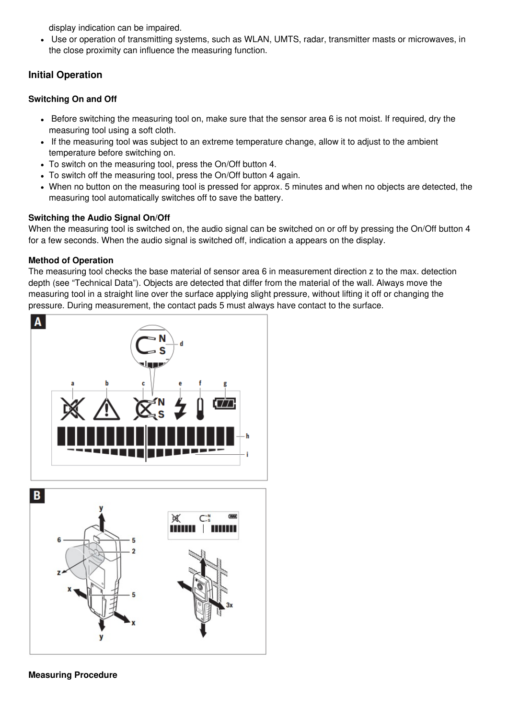<span id="page-4-0"></span>display indication can be impaired.

Use or operation of transmitting systems, such as WLAN, UMTS, radar, transmitter masts or microwaves, in the close proximity can influence the measuring function.

# <span id="page-4-1"></span>**Initial Operation**

#### **Switching On and Off**

- Before switching the measuring tool on, make sure that the sensor area 6 is not moist. If required, dry the measuring tool using a soft cloth.
- If the measuring tool was subject to an extreme temperature change, allow it to adjust to the ambient temperature before switching on.
- To switch on the measuring tool, press the On/Off button 4.
- To switch off the measuring tool, press the On/Off button 4 again.
- When no button on the measuring tool is pressed for approx. 5 minutes and when no objects are detected, the measuring tool automatically switches off to save the battery.

## **Switching the Audio Signal On/Off**

When the measuring tool is switched on, the audio signal can be switched on or off by pressing the On/Off button 4 for a few seconds. When the audio signal is switched off, indication a appears on the display.

## **Method of Operation**

The measuring tool checks the base material of sensor area 6 in measurement direction z to the max. detection depth (see "Technical Data"). Objects are detected that differ from the material of the wall. Always move the measuring tool in a straight line over the surface applying slight pressure, without lifting it off or changing the pressure. During measurement, the contact pads 5 must always have contact to the surface.

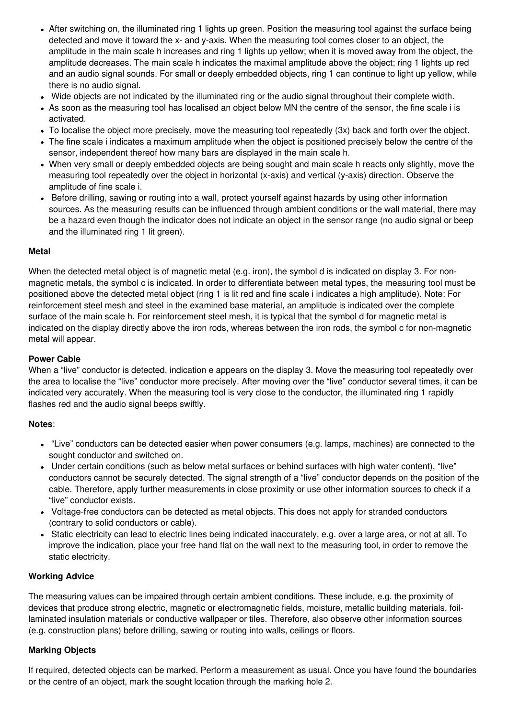- <span id="page-5-0"></span>After switching on, the illuminated ring 1 lights up green. Position the measuring tool against the surface being detected and move it toward the x- and y-axis. When the measuring tool comes closer to an object, the amplitude in the main scale h increases and ring 1 lights up yellow; when it is moved away from the object, the amplitude decreases. The main scale h indicates the maximal amplitude above the object; ring 1 lights up red and an audio signal sounds. For small or deeply embedded objects, ring 1 can continue to light up yellow, while there is no audio signal.
- Wide objects are not indicated by the illuminated ring or the audio signal throughout their complete width.
- As soon as the measuring tool has localised an object below MN the centre of the sensor, the fine scale i is activated.
- To localise the object more precisely, move the measuring tool repeatedly (3x) back and forth over the object.
- The fine scale i indicates a maximum amplitude when the object is positioned precisely below the centre of the sensor, independent thereof how many bars are displayed in the main scale h.
- When very small or deeply embedded objects are being sought and main scale h reacts only slightly, move the measuring tool repeatedly over the object in horizontal (x-axis) and vertical (y-axis) direction. Observe the amplitude of fine scale i.
- Before drilling, sawing or routing into a wall, protect yourself against hazards by using other information sources. As the measuring results can be influenced through ambient conditions or the wall material, there may be a hazard even though the indicator does not indicate an object in the sensor range (no audio signal or beep and the illuminated ring 1 lit green).

#### **Metal**

When the detected metal object is of magnetic metal (e.g. iron), the symbol d is indicated on display 3. For nonmagnetic metals, the symbol c is indicated. In order to differentiate between metal types, the measuring tool must be positioned above the detected metal object (ring 1 is lit red and fine scale i indicates a high amplitude). Note: For reinforcement steel mesh and steel in the examined base material, an amplitude is indicated over the complete surface of the main scale h. For reinforcement steel mesh, it is typical that the symbol d for magnetic metal is indicated on the display directly above the iron rods, whereas between the iron rods, the symbol c for non-magnetic metal will appear.

#### **Power Cable**

When a "live" conductor is detected, indication e appears on the display 3. Move the measuring tool repeatedly over the area to localise the "live" conductor more precisely. After moving over the "live" conductor several times, it can be indicated very accurately. When the measuring tool is very close to the conductor, the illuminated ring 1 rapidly flashes red and the audio signal beeps swiftly.

#### **Notes**:

- "Live" conductors can be detected easier when power consumers (e.g. lamps, machines) are connected to the sought conductor and switched on.
- Under certain conditions (such as below metal surfaces or behind surfaces with high water content), "live" conductors cannot be securely detected. The signal strength of a "live" conductor depends on the position of the cable. Therefore, apply further measurements in close proximity or use other information sources to check if a "live" conductor exists.
- Voltage-free conductors can be detected as metal objects. This does not apply for stranded conductors (contrary to solid conductors or cable).
- Static electricity can lead to electric lines being indicated inaccurately, e.g. over a large area, or not at all. To improve the indication, place your free hand flat on the wall next to the measuring tool, in order to remove the static electricity.

#### **Working Advice**

The measuring values can be impaired through certain ambient conditions. These include, e.g. the proximity of devices that produce strong electric, magnetic or electromagnetic fields, moisture, metallic building materials, foillaminated insulation materials or conductive wallpaper or tiles. Therefore, also observe other information sources (e.g. construction plans) before drilling, sawing or routing into walls, ceilings or floors.

#### **Marking Objects**

If required, detected objects can be marked. Perform a measurement as usual. Once you have found the boundaries or the centre of an object, mark the sought location through the marking hole 2.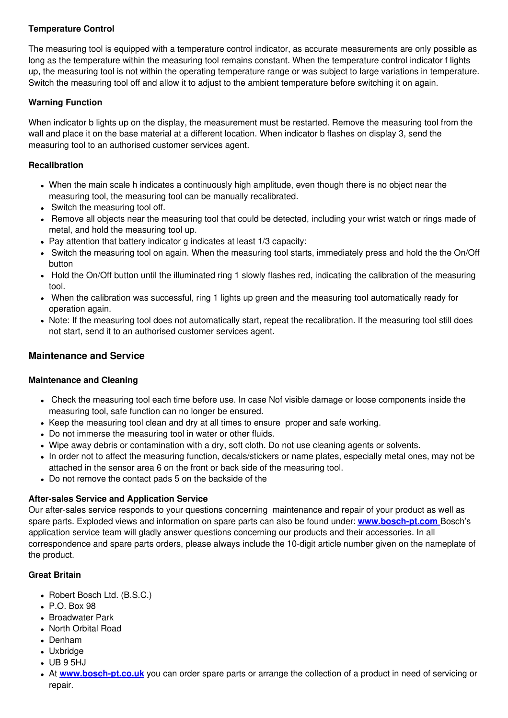## **Temperature Control**

The measuring tool is equipped with a temperature control indicator, as accurate measurements are only possible as long as the temperature within the measuring tool remains constant. When the temperature control indicator f lights up, the measuring tool is not within the operating temperature range or was subject to large variations in temperature. Switch the measuring tool off and allow it to adjust to the ambient temperature before switching it on again.

#### **Warning Function**

When indicator b lights up on the display, the measurement must be restarted. Remove the measuring tool from the wall and place it on the base material at a different location. When indicator b flashes on display 3, send the measuring tool to an authorised customer services agent.

#### **Recalibration**

- When the main scale h indicates a continuously high amplitude, even though there is no object near the measuring tool, the measuring tool can be manually recalibrated.
- Switch the measuring tool off.
- Remove all objects near the measuring tool that could be detected, including your wrist watch or rings made of metal, and hold the measuring tool up.
- Pay attention that battery indicator g indicates at least 1/3 capacity:
- Switch the measuring tool on again. When the measuring tool starts, immediately press and hold the the On/Off button
- Hold the On/Off button until the illuminated ring 1 slowly flashes red, indicating the calibration of the measuring tool.
- When the calibration was successful, ring 1 lights up green and the measuring tool automatically ready for operation again.
- Note: If the measuring tool does not automatically start, repeat the recalibration. If the measuring tool still does not start, send it to an authorised customer services agent.

## <span id="page-6-0"></span>**Maintenance and Service**

#### **Maintenance and Cleaning**

- Check the measuring tool each time before use. In case Nof visible damage or loose components inside the measuring tool, safe function can no longer be ensured.
- Keep the measuring tool clean and dry at all times to ensure proper and safe working.
- Do not immerse the measuring tool in water or other fluids.
- Wipe away debris or contamination with a dry, soft cloth. Do not use cleaning agents or solvents.
- In order not to affect the measuring function, decals/stickers or name plates, especially metal ones, may not be attached in the sensor area 6 on the front or back side of the measuring tool.
- Do not remove the contact pads 5 on the backside of the

#### **After-sales Service and Application Service**

Our after-sales service responds to your questions concerning maintenance and repair of your product as well as spare parts. Exploded views and information on spare parts can also be found under: **[www.bosch-pt.com](http://www.bosch-pt.com)** Bosch's application service team will gladly answer questions concerning our products and their accessories. In all correspondence and spare parts orders, please always include the 10-digit article number given on the nameplate of the product.

#### **Great Britain**

- Robert Bosch Ltd. (B.S.C.)
- $\cdot$  P.O. Box 98
- Broadwater Park
- North Orbital Road
- Denham
- Uxbridge
- UB 9 5HJ
- At **[www.bosch-pt.co.uk](http://www.bosch-pt.co.uk)** you can order spare parts or arrange the collection of a product in need of servicing or repair.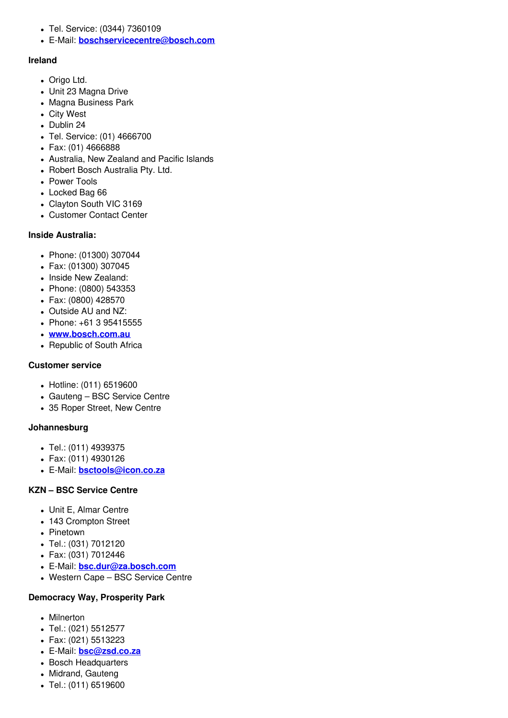- Tel. Service: (0344) 7360109
- E-Mail: **[boschservicecentre@bosch.com](https://manuals.plus/bosch/boschservicecentre@bosch.com)**

#### **Ireland**

- Origo Ltd.
- Unit 23 Magna Drive
- Magna Business Park
- City West
- Dublin 24
- Tel. Service: (01) 4666700
- Fax: (01) 4666888
- Australia, New Zealand and Pacific Islands
- Robert Bosch Australia Pty. Ltd.
- Power Tools
- Locked Bag 66
- Clayton South VIC 3169
- Customer Contact Center

#### **Inside Australia:**

- Phone: (01300) 307044
- Fax: (01300) 307045
- Inside New Zealand:
- Phone: (0800) 543353
- Fax: (0800) 428570
- Outside AU and NZ:
- Phone: +61 3 95415555
- **[www.bosch.com.au](http://www.bosch.com.au)**
- Republic of South Africa

#### **Customer service**

- Hotline: (011) 6519600
- Gauteng BSC Service Centre
- 35 Roper Street, New Centre

#### **Johannesburg**

- Tel.: (011) 4939375
- Fax: (011) 4930126
- E-Mail: **[bsctools@icon.co.za](https://manuals.plus/bosch/bsctools@icon.co.za)**

#### **KZN – BSC Service Centre**

- Unit E, Almar Centre
- 143 Crompton Street
- Pinetown
- Tel.: (031) 7012120
- Fax: (031) 7012446
- E-Mail: **[bsc.dur@za.bosch.com](https://manuals.plus/bosch/bsc.dur@za.bosch.com)**
- Western Cape BSC Service Centre

#### **Democracy Way, Prosperity Park**

- Milnerton
- Tel.: (021) 5512577
- Fax: (021) 5513223
- E-Mail: **[bsc@zsd.co.za](https://manuals.plus/bosch/bsc@zsd.co.za)**
- Bosch Headquarters
- Midrand, Gauteng
- Tel.: (011) 6519600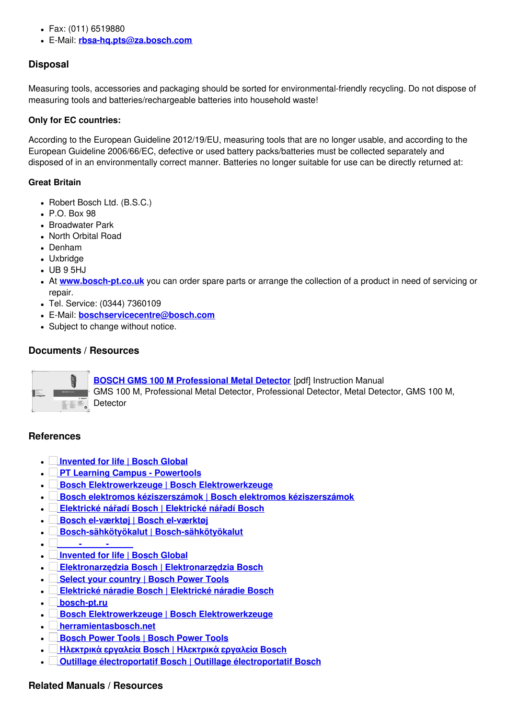- Fax: (011) 6519880
- E-Mail: **[rbsa-hq.pts@za.bosch.com](https://manuals.plus/bosch/rbsa-hq.pts@za.bosch.com)**

## <span id="page-8-0"></span>**Disposal**

Measuring tools, accessories and packaging should be sorted for environmental-friendly recycling. Do not dispose of measuring tools and batteries/rechargeable batteries into household waste!

#### **Only for EC countries:**

According to the European Guideline 2012/19/EU, measuring tools that are no longer usable, and according to the European Guideline 2006/66/EC, defective or used battery packs/batteries must be collected separately and disposed of in an environmentally correct manner. Batteries no longer suitable for use can be directly returned at:

#### **Great Britain**

- Robert Bosch Ltd. (B.S.C.)
- $\cdot$  P.O. Box 98
- Broadwater Park
- North Orbital Road
- Denham
- Uxbridge
- UB 9 5HJ
- At **[www.bosch-pt.co.uk](http://www.bosch-pt.co.uk)** you can order spare parts or arrange the collection of a product in need of servicing or repair.
- Tel. Service: (0344) 7360109
- E-Mail: **[boschservicecentre@bosch.com](https://manuals.plus/bosch/boschservicecentre@bosch.com)**
- Subject to change without notice.

## <span id="page-8-1"></span>**Documents / Resources**



**BOSCH GMS 100 M [Professional](https://manuals.plus/m/879e9e8c12bda6531e5227bc459c024efff3568988c2849d452f83e66cfaa77a_optim.pdf) Metal Detector** [pdf] Instruction Manual GMS 100 M, Professional Metal Detector, Professional Detector, Metal Detector, GMS 100 M, Detector

#### <span id="page-8-2"></span>**References**

- **[Invented](http://www.bosch.com) for life | Bosch Global**
- **PT Learning Campus - [Powertools](http://www.powertool-portal.de)**
- **Bosch [Elektrowerkzeuge](http://www.bosch-pt.at) | Bosch Elektrowerkzeuge**
- **Bosch elektromos [kéziszerszámok](http://www.bosch-pt.hu) | Bosch elektromos kéziszerszámok**
- $\blacksquare$ **[Elektrické](http://www.bosch-pt.cz) nářadí Bosch | Elektrické nářadí Bosch**
- **Bosch [el-værktøj](http://www.bosch-pt.dk) | Bosch el-værktøj**  $\bullet$
- **[Bosch-sähkötyökalut](http://www.bosch-pt.fi) | Bosch-sähkötyökalut**  $\bullet$
- **[-](http://www.ferramentasbosch.com) -**  $\bullet$
- **[Invented](http://bosch.com) for life | Bosch Global**  $\bullet$
- **[Elektronarzędzia](http://www.bosch-pt.pl) Bosch | Elektronarzędzia Bosch**  $\bullet$
- **Select your [country](http://www.bosch-pt.com) | Bosch Power Tools**  $\bullet$
- **[Elektrické](http://www.bosch-pt.sk) náradie Bosch | Elektrické náradie Bosch**
- **[bosch-pt.ru](http://www.bosch-pt.ru)**
- **Bosch [Elektrowerkzeuge](http://www.bosch-pt.com/ch/de) | Bosch Elektrowerkzeuge**
- **[herramientasbosch.net](http://www.herramientasbosch.net)**
- $\blacksquare$ **[Bosch](http://www.bosch-pt.co.uk) Power Tools | Bosch Power Tools**
- **[Ηλεκτρικά](http://www.bosch-pt.gr) εργαλεία Bosch | Ηλεκτρικά εργαλεία Bosch**  $\bullet$
- $\overline{\phantom{a}}$ **Outillage [électroportatif](http://www.bosch-pt.fr) Bosch | Outillage électroportatif Bosch**

# <span id="page-8-3"></span>**Related Manuals / Resources**